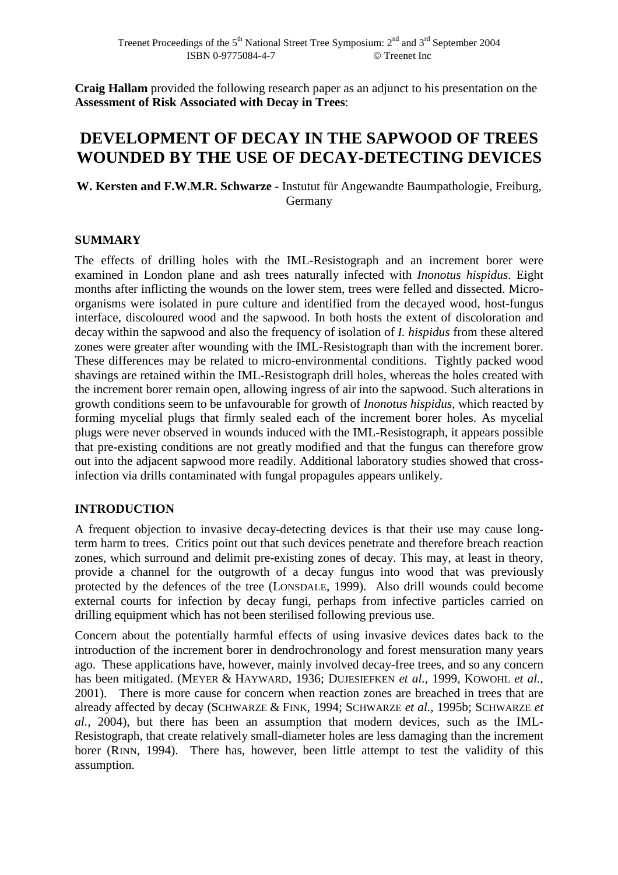**Craig Hallam** provided the following research paper as an adjunct to his presentation on the **Assessment of Risk Associated with Decay in Trees**:

# **DEVELOPMENT OF DECAY IN THE SAPWOOD OF TREES WOUNDED BY THE USE OF DECAY-DETECTING DEVICES**

**W. Kersten and F.W.M.R. Schwarze** - Instutut für Angewandte Baumpathologie, Freiburg, Germany

## **SUMMARY**

The effects of drilling holes with the IML-Resistograph and an increment borer were examined in London plane and ash trees naturally infected with *Inonotus hispidus*. Eight months after inflicting the wounds on the lower stem, trees were felled and dissected. Microorganisms were isolated in pure culture and identified from the decayed wood, host-fungus interface, discoloured wood and the sapwood. In both hosts the extent of discoloration and decay within the sapwood and also the frequency of isolation of *I. hispidus* from these altered zones were greater after wounding with the IML-Resistograph than with the increment borer. These differences may be related to micro-environmental conditions. Tightly packed wood shavings are retained within the IML-Resistograph drill holes, whereas the holes created with the increment borer remain open, allowing ingress of air into the sapwood. Such alterations in growth conditions seem to be unfavourable for growth of *Inonotus hispidus*, which reacted by forming mycelial plugs that firmly sealed each of the increment borer holes. As mycelial plugs were never observed in wounds induced with the IML-Resistograph, it appears possible that pre-existing conditions are not greatly modified and that the fungus can therefore grow out into the adjacent sapwood more readily. Additional laboratory studies showed that crossinfection via drills contaminated with fungal propagules appears unlikely.

# **INTRODUCTION**

A frequent objection to invasive decay-detecting devices is that their use may cause longterm harm to trees. Critics point out that such devices penetrate and therefore breach reaction zones, which surround and delimit pre-existing zones of decay. This may, at least in theory, provide a channel for the outgrowth of a decay fungus into wood that was previously protected by the defences of the tree (LONSDALE, 1999). Also drill wounds could become external courts for infection by decay fungi, perhaps from infective particles carried on drilling equipment which has not been sterilised following previous use.

Concern about the potentially harmful effects of using invasive devices dates back to the introduction of the increment borer in dendrochronology and forest mensuration many years ago. These applications have, however, mainly involved decay-free trees, and so any concern has been mitigated. (MEYER & HAYWARD, 1936; DUJESIEFKEN *et al.*, 1999, KOWOHL *et al.*, 2001). There is more cause for concern when reaction zones are breached in trees that are already affected by decay (SCHWARZE & FINK, 1994; SCHWARZE *et al.*, 1995b; SCHWARZE *et al.*, 2004), but there has been an assumption that modern devices, such as the IML-Resistograph, that create relatively small-diameter holes are less damaging than the increment borer (RINN, 1994). There has, however, been little attempt to test the validity of this assumption.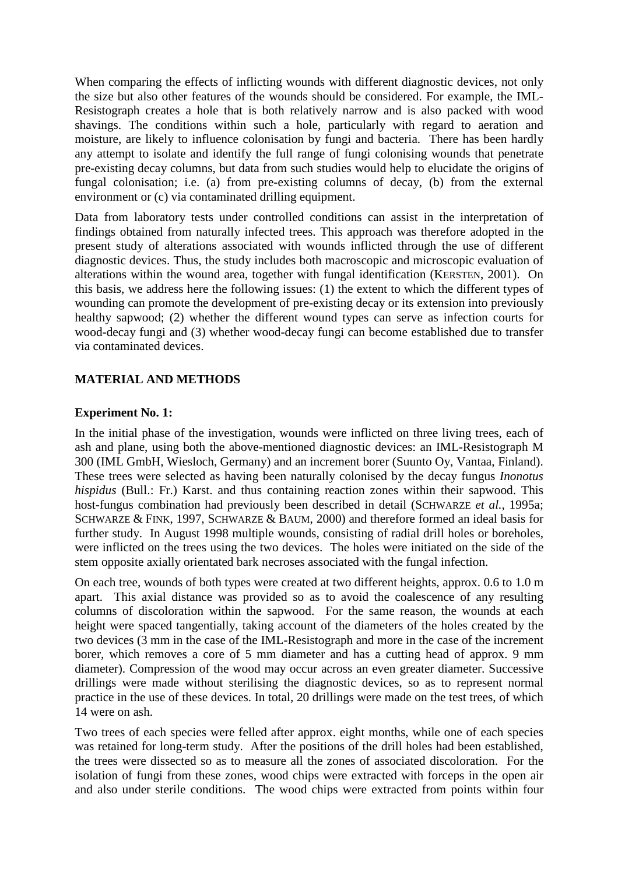When comparing the effects of inflicting wounds with different diagnostic devices, not only the size but also other features of the wounds should be considered. For example, the IML-Resistograph creates a hole that is both relatively narrow and is also packed with wood shavings. The conditions within such a hole, particularly with regard to aeration and moisture, are likely to influence colonisation by fungi and bacteria. There has been hardly any attempt to isolate and identify the full range of fungi colonising wounds that penetrate pre-existing decay columns, but data from such studies would help to elucidate the origins of fungal colonisation; i.e. (a) from pre-existing columns of decay, (b) from the external environment or (c) via contaminated drilling equipment.

Data from laboratory tests under controlled conditions can assist in the interpretation of findings obtained from naturally infected trees. This approach was therefore adopted in the present study of alterations associated with wounds inflicted through the use of different diagnostic devices. Thus, the study includes both macroscopic and microscopic evaluation of alterations within the wound area, together with fungal identification (KERSTEN, 2001). On this basis, we address here the following issues: (1) the extent to which the different types of wounding can promote the development of pre-existing decay or its extension into previously healthy sapwood; (2) whether the different wound types can serve as infection courts for wood-decay fungi and (3) whether wood-decay fungi can become established due to transfer via contaminated devices.

# **MATERIAL AND METHODS**

## **Experiment No. 1:**

In the initial phase of the investigation, wounds were inflicted on three living trees, each of ash and plane, using both the above-mentioned diagnostic devices: an IML-Resistograph M 300 (IML GmbH, Wiesloch, Germany) and an increment borer (Suunto Oy, Vantaa, Finland). These trees were selected as having been naturally colonised by the decay fungus *Inonotus hispidus* (Bull.: Fr.) Karst. and thus containing reaction zones within their sapwood. This host-fungus combination had previously been described in detail (SCHWARZE *et al.*, 1995a; SCHWARZE & FINK, 1997, SCHWARZE & BAUM, 2000) and therefore formed an ideal basis for further study. In August 1998 multiple wounds, consisting of radial drill holes or boreholes, were inflicted on the trees using the two devices. The holes were initiated on the side of the stem opposite axially orientated bark necroses associated with the fungal infection.

On each tree, wounds of both types were created at two different heights, approx. 0.6 to 1.0 m apart. This axial distance was provided so as to avoid the coalescence of any resulting columns of discoloration within the sapwood. For the same reason, the wounds at each height were spaced tangentially, taking account of the diameters of the holes created by the two devices (3 mm in the case of the IML-Resistograph and more in the case of the increment borer, which removes a core of 5 mm diameter and has a cutting head of approx. 9 mm diameter). Compression of the wood may occur across an even greater diameter. Successive drillings were made without sterilising the diagnostic devices, so as to represent normal practice in the use of these devices. In total, 20 drillings were made on the test trees, of which 14 were on ash.

Two trees of each species were felled after approx. eight months, while one of each species was retained for long-term study. After the positions of the drill holes had been established, the trees were dissected so as to measure all the zones of associated discoloration. For the isolation of fungi from these zones, wood chips were extracted with forceps in the open air and also under sterile conditions. The wood chips were extracted from points within four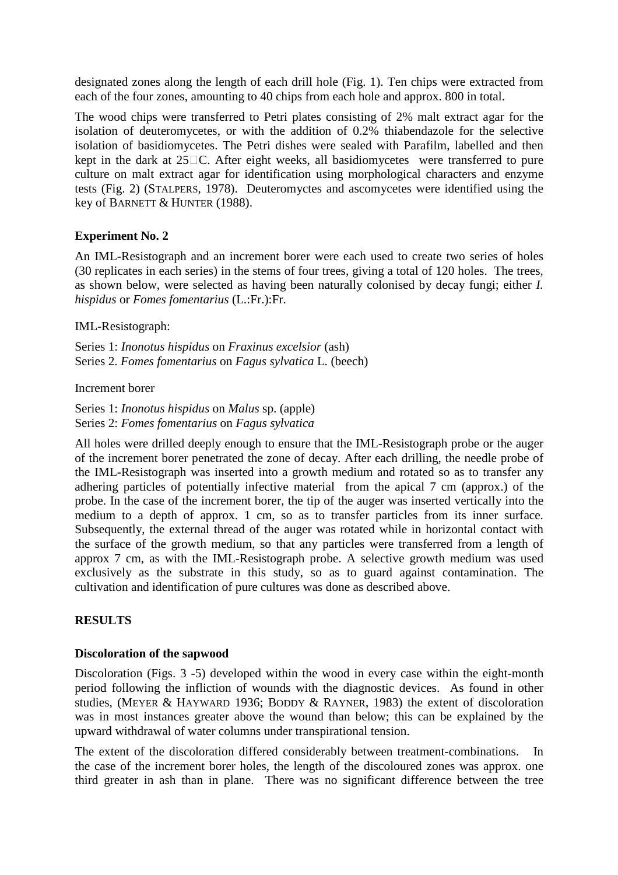designated zones along the length of each drill hole (Fig. 1). Ten chips were extracted from each of the four zones, amounting to 40 chips from each hole and approx. 800 in total.

The wood chips were transferred to Petri plates consisting of 2% malt extract agar for the isolation of deuteromycetes, or with the addition of 0.2% thiabendazole for the selective isolation of basidiomycetes. The Petri dishes were sealed with Parafilm, labelled and then kept in the dark at  $25\,\text{C}$ . After eight weeks, all basidiomycetes were transferred to pure culture on malt extract agar for identification using morphological characters and enzyme tests (Fig. 2) (STALPERS, 1978). Deuteromyctes and ascomycetes were identified using the key of BARNETT & HUNTER (1988).

# **Experiment No. 2**

An IML-Resistograph and an increment borer were each used to create two series of holes (30 replicates in each series) in the stems of four trees, giving a total of 120 holes. The trees, as shown below, were selected as having been naturally colonised by decay fungi; either *I. hispidus* or *Fomes fomentarius* (L.:Fr.):Fr.

## IML-Resistograph:

Series 1: *Inonotus hispidus* on *Fraxinus excelsior* (ash) Series 2. *Fomes fomentarius* on *Fagus sylvatica* L. (beech)

## Increment borer

Series 1: *Inonotus hispidus* on *Malus* sp. (apple) Series 2: *Fomes fomentarius* on *Fagus sylvatica*

All holes were drilled deeply enough to ensure that the IML-Resistograph probe or the auger of the increment borer penetrated the zone of decay. After each drilling, the needle probe of the IML-Resistograph was inserted into a growth medium and rotated so as to transfer any adhering particles of potentially infective material from the apical 7 cm (approx.) of the probe. In the case of the increment borer, the tip of the auger was inserted vertically into the medium to a depth of approx. 1 cm, so as to transfer particles from its inner surface. Subsequently, the external thread of the auger was rotated while in horizontal contact with the surface of the growth medium, so that any particles were transferred from a length of approx 7 cm, as with the IML-Resistograph probe. A selective growth medium was used exclusively as the substrate in this study, so as to guard against contamination. The cultivation and identification of pure cultures was done as described above.

# **RESULTS**

#### **Discoloration of the sapwood**

Discoloration (Figs. 3 -5) developed within the wood in every case within the eight-month period following the infliction of wounds with the diagnostic devices. As found in other studies, (MEYER & HAYWARD 1936; BODDY & RAYNER, 1983) the extent of discoloration was in most instances greater above the wound than below; this can be explained by the upward withdrawal of water columns under transpirational tension.

The extent of the discoloration differed considerably between treatment-combinations. In the case of the increment borer holes, the length of the discoloured zones was approx. one third greater in ash than in plane. There was no significant difference between the tree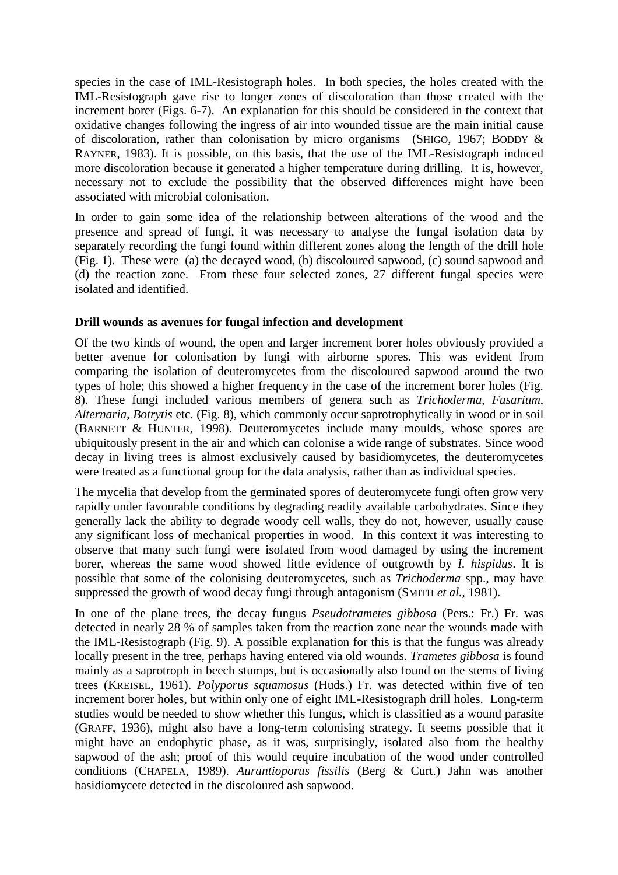species in the case of IML-Resistograph holes. In both species, the holes created with the IML-Resistograph gave rise to longer zones of discoloration than those created with the increment borer (Figs. 6-7). An explanation for this should be considered in the context that oxidative changes following the ingress of air into wounded tissue are the main initial cause of discoloration, rather than colonisation by micro organisms (SHIGO, 1967; BODDY & RAYNER, 1983). It is possible, on this basis, that the use of the IML-Resistograph induced more discoloration because it generated a higher temperature during drilling. It is, however, necessary not to exclude the possibility that the observed differences might have been associated with microbial colonisation.

In order to gain some idea of the relationship between alterations of the wood and the presence and spread of fungi, it was necessary to analyse the fungal isolation data by separately recording the fungi found within different zones along the length of the drill hole (Fig. 1). These were (a) the decayed wood, (b) discoloured sapwood, (c) sound sapwood and (d) the reaction zone. From these four selected zones, 27 different fungal species were isolated and identified.

## **Drill wounds as avenues for fungal infection and development**

Of the two kinds of wound, the open and larger increment borer holes obviously provided a better avenue for colonisation by fungi with airborne spores. This was evident from comparing the isolation of deuteromycetes from the discoloured sapwood around the two types of hole; this showed a higher frequency in the case of the increment borer holes (Fig. 8). These fungi included various members of genera such as *Trichoderma*, *Fusarium*, *Alternaria*, *Botrytis* etc. (Fig. 8), which commonly occur saprotrophytically in wood or in soil (BARNETT & HUNTER, 1998). Deuteromycetes include many moulds, whose spores are ubiquitously present in the air and which can colonise a wide range of substrates. Since wood decay in living trees is almost exclusively caused by basidiomycetes, the deuteromycetes were treated as a functional group for the data analysis, rather than as individual species.

The mycelia that develop from the germinated spores of deuteromycete fungi often grow very rapidly under favourable conditions by degrading readily available carbohydrates. Since they generally lack the ability to degrade woody cell walls, they do not, however, usually cause any significant loss of mechanical properties in wood. In this context it was interesting to observe that many such fungi were isolated from wood damaged by using the increment borer, whereas the same wood showed little evidence of outgrowth by *I. hispidus*. It is possible that some of the colonising deuteromycetes, such as *Trichoderma* spp., may have suppressed the growth of wood decay fungi through antagonism (SMITH *et al.*, 1981).

In one of the plane trees, the decay fungus *Pseudotrametes gibbosa* (Pers.: Fr.) Fr. was detected in nearly 28 % of samples taken from the reaction zone near the wounds made with the IML-Resistograph (Fig. 9). A possible explanation for this is that the fungus was already locally present in the tree, perhaps having entered via old wounds. *Trametes gibbosa* is found mainly as a saprotroph in beech stumps, but is occasionally also found on the stems of living trees (KREISEL, 1961). *Polyporus squamosus* (Huds.) Fr. was detected within five of ten increment borer holes, but within only one of eight IML-Resistograph drill holes. Long-term studies would be needed to show whether this fungus, which is classified as a wound parasite (GRAFF, 1936), might also have a long-term colonising strategy. It seems possible that it might have an endophytic phase, as it was, surprisingly, isolated also from the healthy sapwood of the ash; proof of this would require incubation of the wood under controlled conditions (CHAPELA, 1989). *Aurantioporus fissilis* (Berg & Curt.) Jahn was another basidiomycete detected in the discoloured ash sapwood.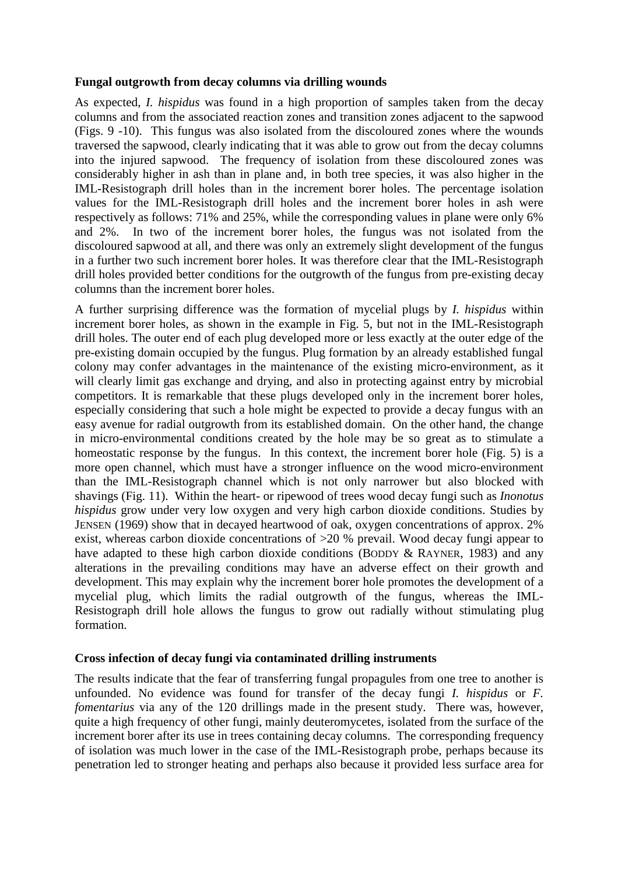#### **Fungal outgrowth from decay columns via drilling wounds**

As expected, *I. hispidus* was found in a high proportion of samples taken from the decay columns and from the associated reaction zones and transition zones adjacent to the sapwood (Figs. 9 -10). This fungus was also isolated from the discoloured zones where the wounds traversed the sapwood, clearly indicating that it was able to grow out from the decay columns into the injured sapwood. The frequency of isolation from these discoloured zones was considerably higher in ash than in plane and, in both tree species, it was also higher in the IML-Resistograph drill holes than in the increment borer holes. The percentage isolation values for the IML-Resistograph drill holes and the increment borer holes in ash were respectively as follows: 71% and 25%, while the corresponding values in plane were only 6% and 2%. In two of the increment borer holes, the fungus was not isolated from the discoloured sapwood at all, and there was only an extremely slight development of the fungus in a further two such increment borer holes. It was therefore clear that the IML-Resistograph drill holes provided better conditions for the outgrowth of the fungus from pre-existing decay columns than the increment borer holes.

A further surprising difference was the formation of mycelial plugs by *I. hispidus* within increment borer holes, as shown in the example in Fig. 5, but not in the IML-Resistograph drill holes. The outer end of each plug developed more or less exactly at the outer edge of the pre-existing domain occupied by the fungus. Plug formation by an already established fungal colony may confer advantages in the maintenance of the existing micro-environment, as it will clearly limit gas exchange and drying, and also in protecting against entry by microbial competitors. It is remarkable that these plugs developed only in the increment borer holes, especially considering that such a hole might be expected to provide a decay fungus with an easy avenue for radial outgrowth from its established domain. On the other hand, the change in micro-environmental conditions created by the hole may be so great as to stimulate a homeostatic response by the fungus. In this context, the increment borer hole (Fig. 5) is a more open channel, which must have a stronger influence on the wood micro-environment than the IML-Resistograph channel which is not only narrower but also blocked with shavings (Fig. 11). Within the heart- or ripewood of trees wood decay fungi such as *Inonotus hispidus* grow under very low oxygen and very high carbon dioxide conditions. Studies by JENSEN (1969) show that in decayed heartwood of oak, oxygen concentrations of approx. 2% exist, whereas carbon dioxide concentrations of >20 % prevail. Wood decay fungi appear to have adapted to these high carbon dioxide conditions (BODDY & RAYNER, 1983) and any alterations in the prevailing conditions may have an adverse effect on their growth and development. This may explain why the increment borer hole promotes the development of a mycelial plug, which limits the radial outgrowth of the fungus, whereas the IML-Resistograph drill hole allows the fungus to grow out radially without stimulating plug formation.

#### **Cross infection of decay fungi via contaminated drilling instruments**

The results indicate that the fear of transferring fungal propagules from one tree to another is unfounded. No evidence was found for transfer of the decay fungi *I. hispidus* or *F. fomentarius* via any of the 120 drillings made in the present study. There was, however, quite a high frequency of other fungi, mainly deuteromycetes, isolated from the surface of the increment borer after its use in trees containing decay columns. The corresponding frequency of isolation was much lower in the case of the IML-Resistograph probe, perhaps because its penetration led to stronger heating and perhaps also because it provided less surface area for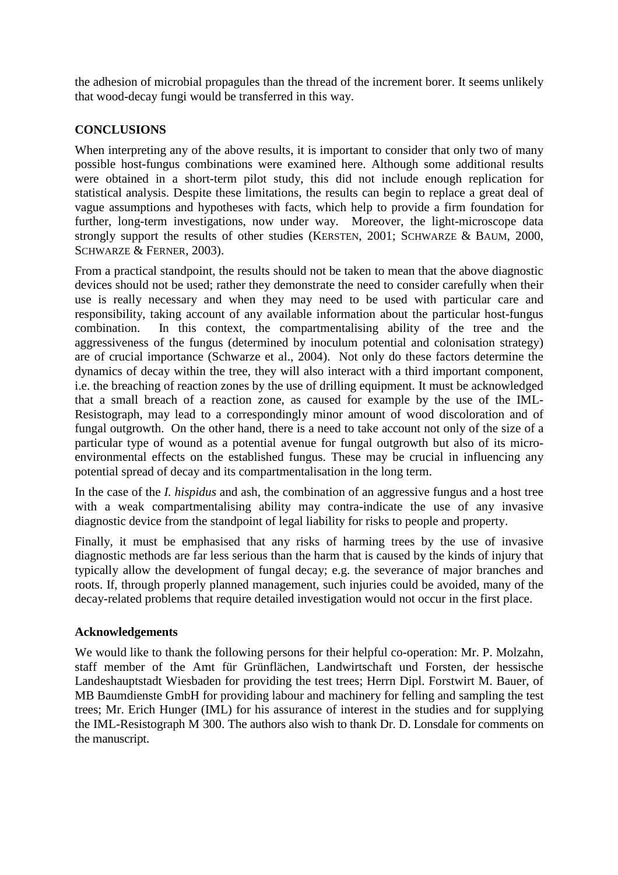the adhesion of microbial propagules than the thread of the increment borer. It seems unlikely that wood-decay fungi would be transferred in this way.

# **CONCLUSIONS**

When interpreting any of the above results, it is important to consider that only two of many possible host-fungus combinations were examined here. Although some additional results were obtained in a short-term pilot study, this did not include enough replication for statistical analysis. Despite these limitations, the results can begin to replace a great deal of vague assumptions and hypotheses with facts, which help to provide a firm foundation for further, long-term investigations, now under way. Moreover, the light-microscope data strongly support the results of other studies (KERSTEN, 2001; SCHWARZE & BAUM, 2000, SCHWARZE & FERNER, 2003).

From a practical standpoint, the results should not be taken to mean that the above diagnostic devices should not be used; rather they demonstrate the need to consider carefully when their use is really necessary and when they may need to be used with particular care and responsibility, taking account of any available information about the particular host-fungus combination. In this context, the compartmentalising ability of the tree and the aggressiveness of the fungus (determined by inoculum potential and colonisation strategy) are of crucial importance (Schwarze et al., 2004). Not only do these factors determine the dynamics of decay within the tree, they will also interact with a third important component, i.e. the breaching of reaction zones by the use of drilling equipment. It must be acknowledged that a small breach of a reaction zone, as caused for example by the use of the IML-Resistograph, may lead to a correspondingly minor amount of wood discoloration and of fungal outgrowth. On the other hand, there is a need to take account not only of the size of a particular type of wound as a potential avenue for fungal outgrowth but also of its microenvironmental effects on the established fungus. These may be crucial in influencing any potential spread of decay and its compartmentalisation in the long term.

In the case of the *I. hispidus* and ash, the combination of an aggressive fungus and a host tree with a weak compartmentalising ability may contra-indicate the use of any invasive diagnostic device from the standpoint of legal liability for risks to people and property.

Finally, it must be emphasised that any risks of harming trees by the use of invasive diagnostic methods are far less serious than the harm that is caused by the kinds of injury that typically allow the development of fungal decay; e.g. the severance of major branches and roots. If, through properly planned management, such injuries could be avoided, many of the decay-related problems that require detailed investigation would not occur in the first place.

#### **Acknowledgements**

We would like to thank the following persons for their helpful co-operation: Mr. P. Molzahn, staff member of the Amt für Grünflächen, Landwirtschaft und Forsten, der hessische Landeshauptstadt Wiesbaden for providing the test trees; Herrn Dipl. Forstwirt M. Bauer, of MB Baumdienste GmbH for providing labour and machinery for felling and sampling the test trees; Mr. Erich Hunger (IML) for his assurance of interest in the studies and for supplying the IML-Resistograph M 300. The authors also wish to thank Dr. D. Lonsdale for comments on the manuscript.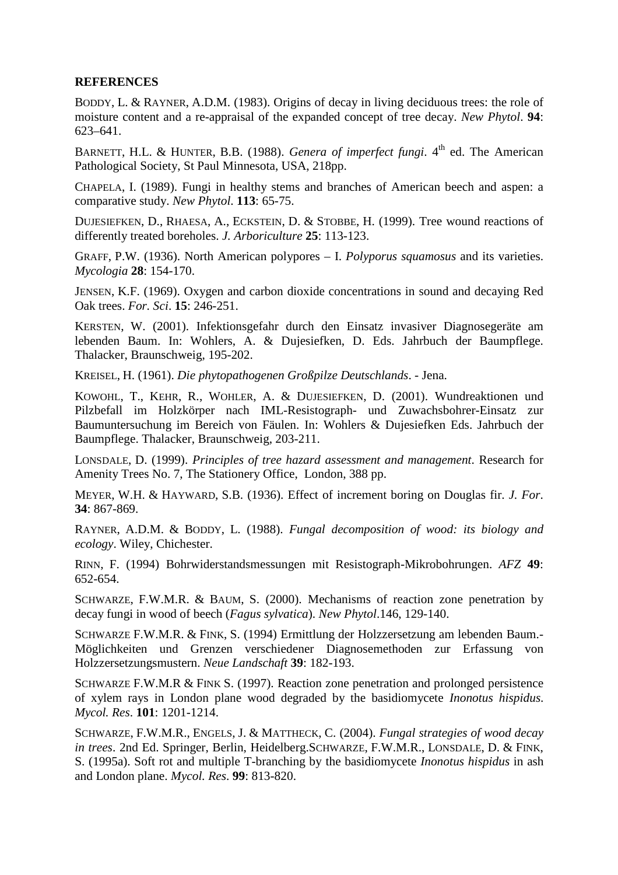## **REFERENCES**

BODDY, L. & RAYNER, A.D.M. (1983). Origins of decay in living deciduous trees: the role of moisture content and a re-appraisal of the expanded concept of tree decay. *New Phytol*. **94**: 623–641.

BARNETT, H.L. & HUNTER, B.B. (1988). *Genera of imperfect fungi*. 4<sup>th</sup> ed. The American Pathological Society, St Paul Minnesota, USA, 218pp.

CHAPELA, I. (1989). Fungi in healthy stems and branches of American beech and aspen: a comparative study. *New Phytol*. **113**: 65-75.

DUJESIEFKEN, D., RHAESA, A., ECKSTEIN, D. & STOBBE, H. (1999). Tree wound reactions of differently treated boreholes. *J. Arboriculture* **25**: 113-123.

GRAFF, P.W. (1936). North American polypores – I. *Polyporus squamosus* and its varieties. *Mycologia* **28**: 154-170.

JENSEN, K.F. (1969). Oxygen and carbon dioxide concentrations in sound and decaying Red Oak trees. *For. Sci*. **15**: 246-251.

KERSTEN, W. (2001). Infektionsgefahr durch den Einsatz invasiver Diagnosegeräte am lebenden Baum. In: Wohlers, A. & Dujesiefken, D. Eds. Jahrbuch der Baumpflege. Thalacker, Braunschweig, 195-202.

KREISEL, H. (1961). *Die phytopathogenen Großpilze Deutschlands*. - Jena.

KOWOHL, T., KEHR, R., WOHLER, A. & DUJESIEFKEN, D. (2001). Wundreaktionen und Pilzbefall im Holzkörper nach IML-Resistograph- und Zuwachsbohrer-Einsatz zur Baumuntersuchung im Bereich von Fäulen. In: Wohlers & Dujesiefken Eds. Jahrbuch der Baumpflege. Thalacker, Braunschweig, 203-211.

LONSDALE, D. (1999). *Principles of tree hazard assessment and management*. Research for Amenity Trees No. 7, The Stationery Office, London, 388 pp.

MEYER, W.H. & HAYWARD, S.B. (1936). Effect of increment boring on Douglas fir. *J. For*. **34**: 867-869.

RAYNER, A.D.M. & BODDY, L. (1988). *Fungal decomposition of wood: its biology and ecology*. Wiley, Chichester.

RINN, F. (1994) Bohrwiderstandsmessungen mit Resistograph-Mikrobohrungen. *AFZ* **49**: 652-654.

SCHWARZE, F.W.M.R. & BAUM, S. (2000). Mechanisms of reaction zone penetration by decay fungi in wood of beech (*Fagus sylvatica*). *New Phytol*.146, 129-140.

SCHWARZE F.W.M.R. & FINK, S. (1994) Ermittlung der Holzzersetzung am lebenden Baum.- Möglichkeiten und Grenzen verschiedener Diagnosemethoden zur Erfassung von Holzzersetzungsmustern. *Neue Landschaft* **39**: 182-193.

SCHWARZE F.W.M.R & FINK S. (1997). Reaction zone penetration and prolonged persistence of xylem rays in London plane wood degraded by the basidiomycete *Inonotus hispidus*. *Mycol. Res*. **101**: 1201-1214.

SCHWARZE, F.W.M.R., ENGELS, J. & MATTHECK, C. (2004). *Fungal strategies of wood decay in trees*. 2nd Ed. Springer, Berlin, Heidelberg.SCHWARZE, F.W.M.R., LONSDALE, D. & FINK, S. (1995a). Soft rot and multiple T-branching by the basidiomycete *Inonotus hispidus* in ash and London plane. *Mycol. Res*. **99**: 813-820.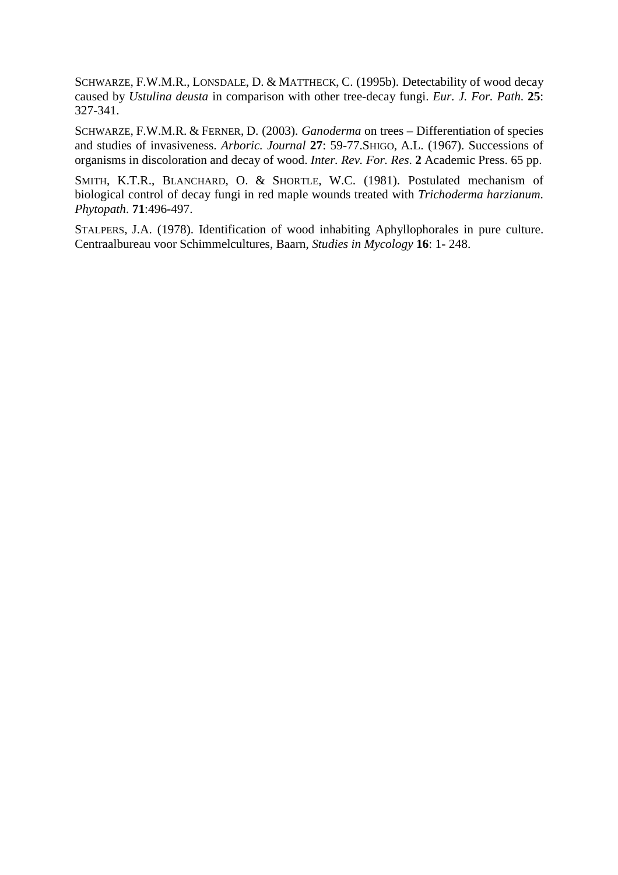SCHWARZE, F.W.M.R., LONSDALE, D. & MATTHECK, C. (1995b). Detectability of wood decay caused by *Ustulina deusta* in comparison with other tree-decay fungi. *Eur. J. For. Path*. **25**: 327-341.

SCHWARZE, F.W.M.R. & FERNER, D. (2003). *Ganoderma* on trees – Differentiation of species and studies of invasiveness. *Arboric. Journal* **27**: 59-77.SHIGO, A.L. (1967). Successions of organisms in discoloration and decay of wood. *Inter. Rev. For. Res*. **2** Academic Press. 65 pp.

SMITH, K.T.R., BLANCHARD, O. & SHORTLE, W.C. (1981). Postulated mechanism of biological control of decay fungi in red maple wounds treated with *Trichoderma harzianum*. *Phytopath*. **71**:496-497.

STALPERS, J.A. (1978). Identification of wood inhabiting Aphyllophorales in pure culture. Centraalbureau voor Schimmelcultures, Baarn, *Studies in Mycology* **16**: 1- 248.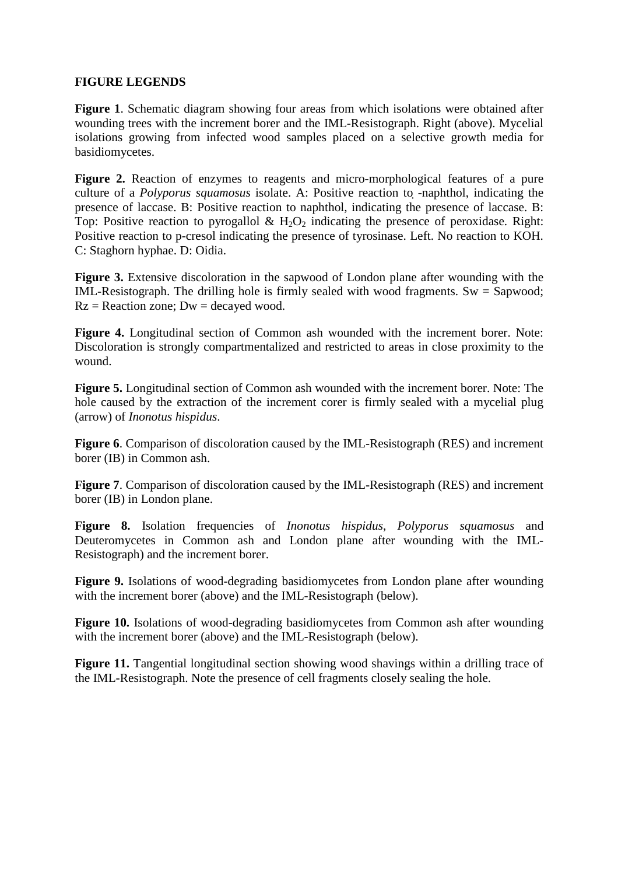# **FIGURE LEGENDS**

**Figure 1**. Schematic diagram showing four areas from which isolations were obtained after wounding trees with the increment borer and the IML-Resistograph. Right (above). Mycelial isolations growing from infected wood samples placed on a selective growth media for basidiomycetes.

**Figure 2.** Reaction of enzymes to reagents and micro-morphological features of a pure culture of a *Polyporus squamosus* isolate. A: Positive reaction to -naphthol, indicating the presence of laccase. B: Positive reaction to naphthol, indicating the presence of laccase. B: Top: Positive reaction to pyrogallol  $\&$  H<sub>2</sub>O<sub>2</sub> indicating the presence of peroxidase. Right: Positive reaction to p-cresol indicating the presence of tyrosinase. Left. No reaction to KOH. C: Staghorn hyphae. D: Oidia.

**Figure 3.** Extensive discoloration in the sapwood of London plane after wounding with the IML-Resistograph. The drilling hole is firmly sealed with wood fragments.  $Sw =$  Sapwood:  $Rz =$  Reaction zone;  $Dw =$  decayed wood.

**Figure 4.** Longitudinal section of Common ash wounded with the increment borer. Note: Discoloration is strongly compartmentalized and restricted to areas in close proximity to the wound.

**Figure 5.** Longitudinal section of Common ash wounded with the increment borer. Note: The hole caused by the extraction of the increment corer is firmly sealed with a mycelial plug (arrow) of *Inonotus hispidus*.

**Figure 6**. Comparison of discoloration caused by the IML-Resistograph (RES) and increment borer (IB) in Common ash.

**Figure 7**. Comparison of discoloration caused by the IML-Resistograph (RES) and increment borer (IB) in London plane.

**Figure 8.** Isolation frequencies of *Inonotus hispidus*, *Polyporus squamosus* and Deuteromycetes in Common ash and London plane after wounding with the IML-Resistograph) and the increment borer.

Figure 9. Isolations of wood-degrading basidiomycetes from London plane after wounding with the increment borer (above) and the IML-Resistograph (below).

**Figure 10.** Isolations of wood-degrading basidiomycetes from Common ash after wounding with the increment borer (above) and the IML-Resistograph (below).

Figure 11. Tangential longitudinal section showing wood shavings within a drilling trace of the IML-Resistograph. Note the presence of cell fragments closely sealing the hole.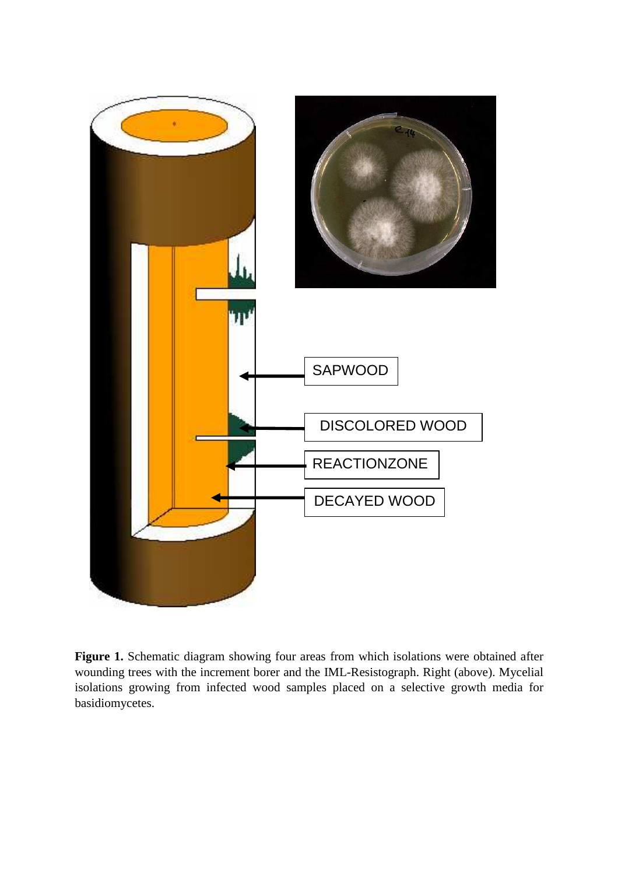

Figure 1. Schematic diagram showing four areas from which isolations were obtained after wounding trees with the increment borer and the IML-Resistograph. Right (above). Mycelial isolations growing from infected wood samples placed on a selective growth media for basidiomycetes.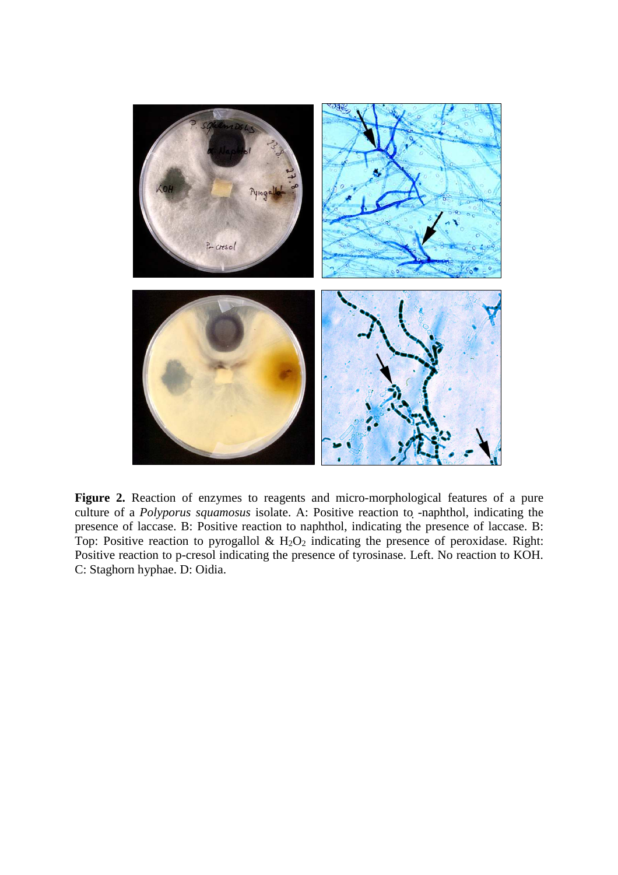

**Figure 2.** Reaction of enzymes to reagents and micro-morphological features of a pure culture of a *Polyporus squamosus* isolate. A: Positive reaction to -naphthol, indicating the presence of laccase. B: Positive reaction to naphthol, indicating the presence of laccase. B: Top: Positive reaction to pyrogallol  $\&$  H<sub>2</sub>O<sub>2</sub> indicating the presence of peroxidase. Right: Positive reaction to p-cresol indicating the presence of tyrosinase. Left. No reaction to KOH. C: Staghorn hyphae. D: Oidia.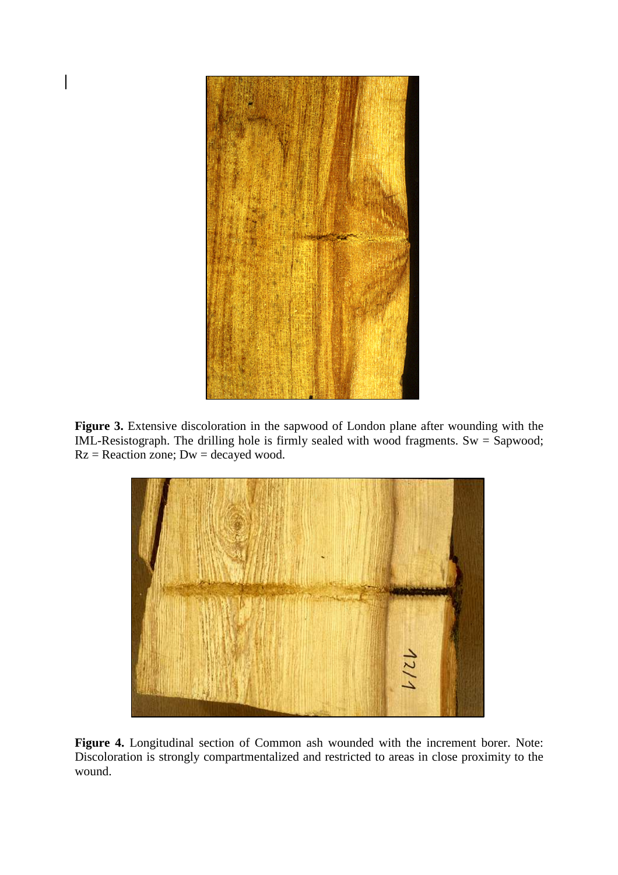

**Figure 3.** Extensive discoloration in the sapwood of London plane after wounding with the IML-Resistograph. The drilling hole is firmly sealed with wood fragments. Sw = Sapwood;  $Rz =$  Reaction zone;  $Dw =$  decayed wood.



**Figure 4.** Longitudinal section of Common ash wounded with the increment borer. Note: Discoloration is strongly compartmentalized and restricted to areas in close proximity to the wound.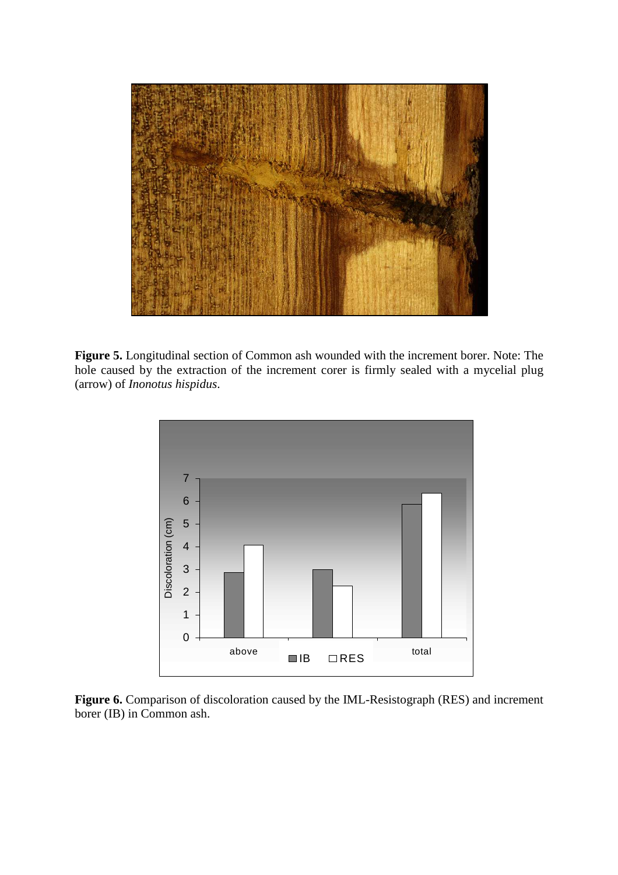

**Figure 5.** Longitudinal section of Common ash wounded with the increment borer. Note: The hole caused by the extraction of the increment corer is firmly sealed with a mycelial plug (arrow) of *Inonotus hispidus*.



**Figure 6.** Comparison of discoloration caused by the IML-Resistograph (RES) and increment borer (IB) in Common ash.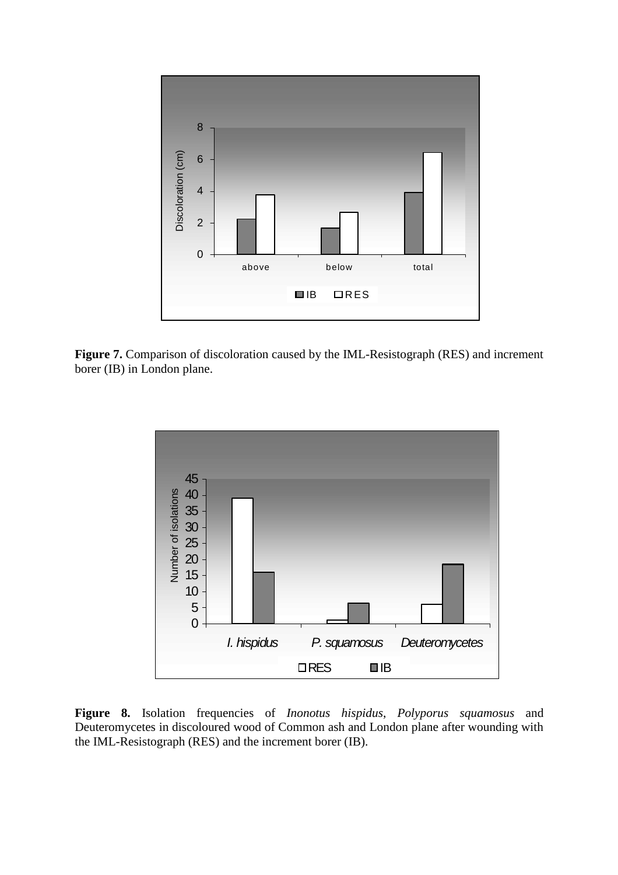

**Figure 7.** Comparison of discoloration caused by the IML-Resistograph (RES) and increment borer (IB) in London plane.



**Figure 8.** Isolation frequencies of *Inonotus hispidus*, *Polyporus squamosus* and Deuteromycetes in discoloured wood of Common ash and London plane after wounding with the IML-Resistograph (RES) and the increment borer (IB).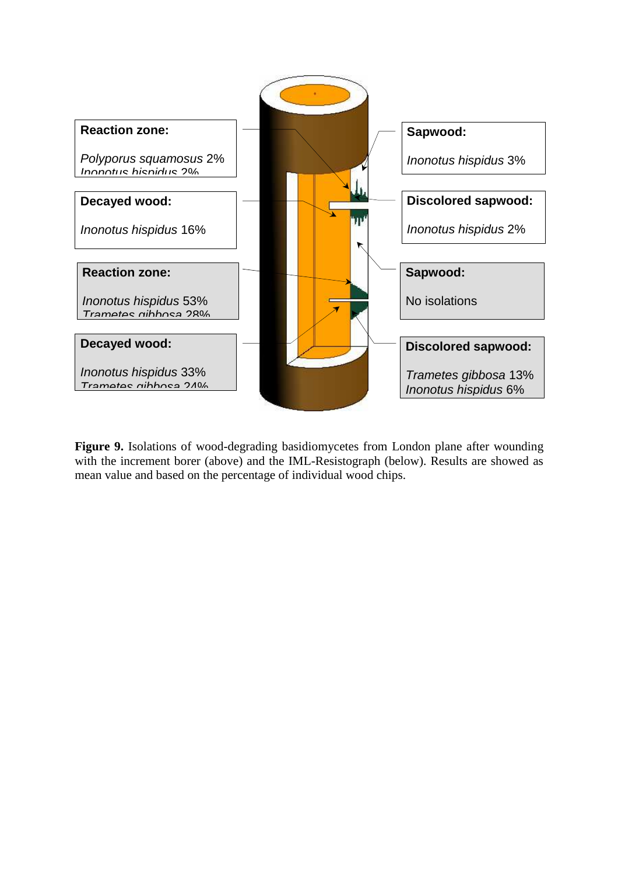

Figure 9. Isolations of wood-degrading basidiomycetes from London plane after wounding with the increment borer (above) and the IML-Resistograph (below). Results are showed as mean value and based on the percentage of individual wood chips.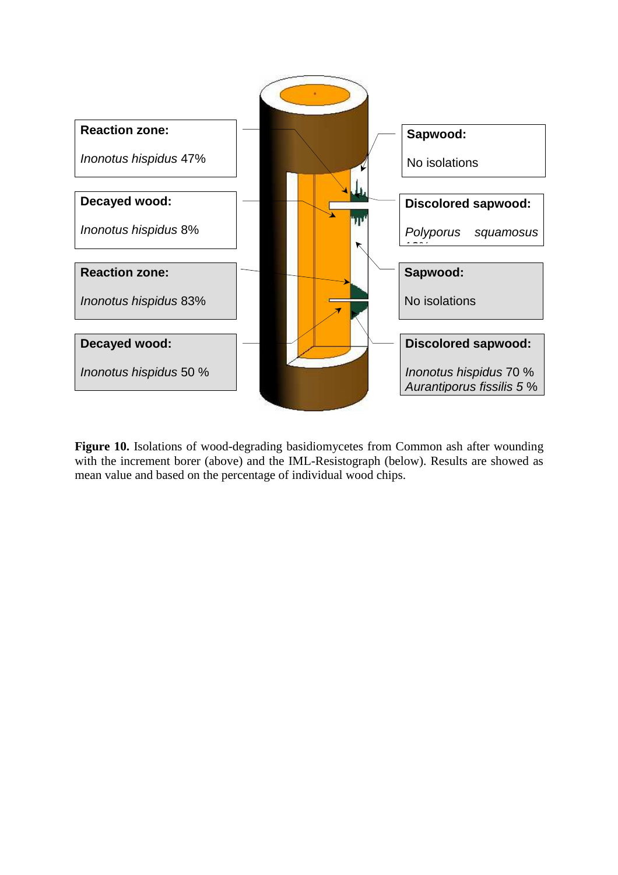

**Figure 10.** Isolations of wood-degrading basidiomycetes from Common ash after wounding with the increment borer (above) and the IML-Resistograph (below). Results are showed as mean value and based on the percentage of individual wood chips.